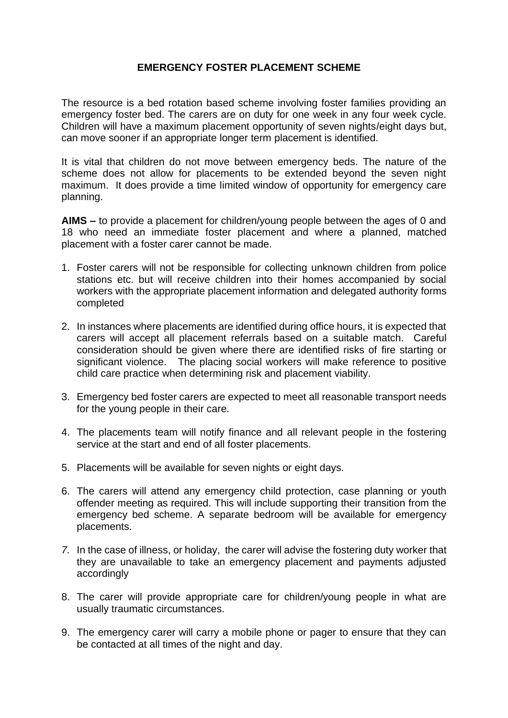## **EMERGENCY FOSTER PLACEMENT SCHEME**

The resource is a bed rotation based scheme involving foster families providing an emergency foster bed. The carers are on duty for one week in any four week cycle. Children will have a maximum placement opportunity of seven nights/eight days but, can move sooner if an appropriate longer term placement is identified.

It is vital that children do not move between emergency beds. The nature of the scheme does not allow for placements to be extended beyond the seven night maximum. It does provide a time limited window of opportunity for emergency care planning.

**AIMS –** to provide a placement for children/young people between the ages of 0 and 18 who need an immediate foster placement and where a planned, matched placement with a foster carer cannot be made.

- 1. Foster carers will not be responsible for collecting unknown children from police stations etc. but will receive children into their homes accompanied by social workers with the appropriate placement information and delegated authority forms completed
- 2. In instances where placements are identified during office hours, it is expected that carers will accept all placement referrals based on a suitable match. Careful consideration should be given where there are identified risks of fire starting or significant violence. The placing social workers will make reference to positive child care practice when determining risk and placement viability.
- 3. Emergency bed foster carers are expected to meet all reasonable transport needs for the young people in their care.
- 4. The placements team will notify finance and all relevant people in the fostering service at the start and end of all foster placements.
- 5. Placements will be available for seven nights or eight days.
- 6. The carers will attend any emergency child protection, case planning or youth offender meeting as required. This will include supporting their transition from the emergency bed scheme. A separate bedroom will be available for emergency placements.
- *7.* In the case of illness, or holiday, the carer will advise the fostering duty worker that they are unavailable to take an emergency placement and payments adjusted accordingly
- 8. The carer will provide appropriate care for children/young people in what are usually traumatic circumstances.
- 9. The emergency carer will carry a mobile phone or pager to ensure that they can be contacted at all times of the night and day.